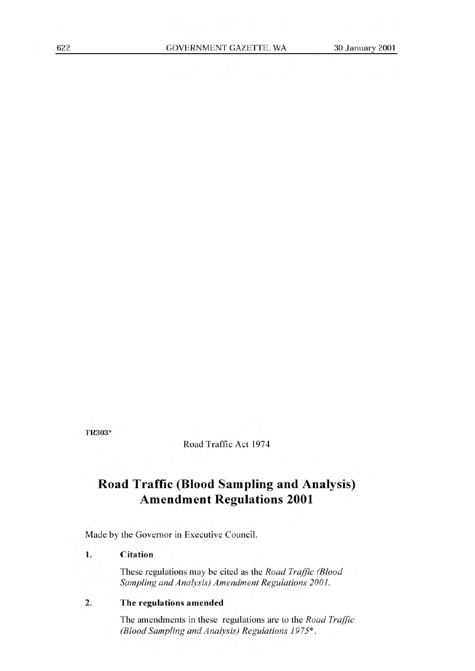TR303\*

Road Traffic Act 1974

# **Road Traffic (Blood Sampling and Analysis) Amendment Regulations 2001**

Made by the Governor in Executive Council.

## **1. Citation**

These regulations may be cited as the *Road Traffic (Blood Sampling and Analysis) Amendment Regulations 2001.* 

### **2. The regulations amended**

The amendments in these regulations are to the *Road Traffic (Blood Sampling and Analysis) Regulations 1975\*.*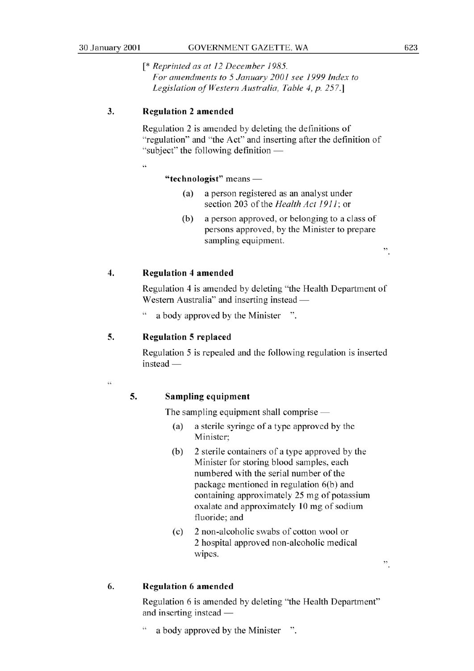*[\* Reprinted as at 12 December 1985. For amendments to 5 January 2001 see 1999 Index to Legislation of Western Australia, Table 4, p. 257.]* 

### **3. Regulation** 2 **amended**

**33** 

Regulation 2 is amended by deleting the definitions of "regulation" and "the Act" and inserting after the definition of "subject" the following definition -

#### **"technologist"** means -

- (a) a person registered as an analyst under section 203 of the *Health Act 1911;* or
- (b) a person approved, or belonging to a class of persons approved, by the Minister to prepare sampling equipment.

#### **4. Regulation 4 amended**

Regulation 4 is amended by deleting "the Health Department of Western Australia" and inserting instead —

a body approved by the Minister ".

#### **5. Regulation 5 replaced**

Regulation *5* is repealed and the following regulation is inserted  $instead$  —

.<br>C

#### **5. Sampling equipment**

The sampling equipment shall comprise  $-$ 

- (a) a sterile syringe of a type approved by the Minister;
- (b) 2 sterile containers of a type approved by the Minister for storing blood samples, each numbered with the serial number of the package mentioned in regulation 6(b) and containing approximately 25 mg of potassium oxalate and approximately 10 mg of sodium fluoride; and
- (c) 2 non-alcoholic swabs of cotton wool or 2 hospital approved non-alcoholic medical wipes.

#### **6. Regulation 6 amended**

Regulation 6 is amended by deleting "the Health Department" and inserting instead —

" a body approved by the Minister ".

 $\ddot{\cdot}$ 

 $\ddot{\phantom{0}}$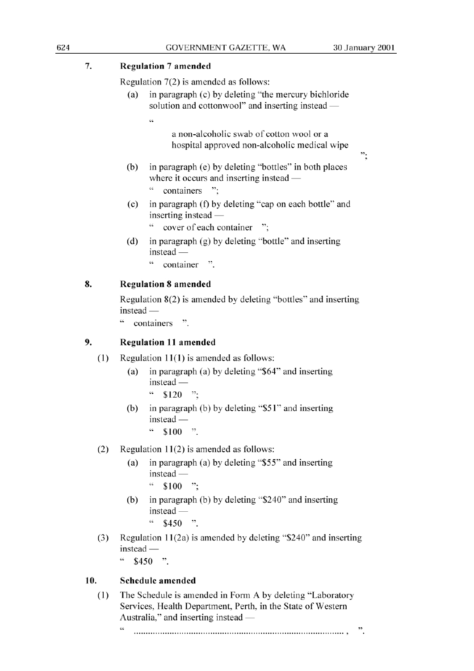$\cdot$ :

### 7. **Regulation** 7 **amended**

**33** 

Regulation 7(2) is amended as follows:

(a) in paragraph (c) by deleting "the mercury bichloride solution and cottonwool" and inserting instead  $-$ 

> a non-alcoholic swab of cotton wool or a hospital approved non-alcoholic medical wipe

- (b) in paragraph (e) by deleting "bottles" in both places where it occurs and inserting instead —
	- " containers ";
- (c) in paragraph (f) by deleting "cap on each bottle" and inserting instead -
	- " cover of each container ":
- (d) in paragraph (g) by deleting "bottle" and inserting  $\frac{1}{2}$ instead
	- container ".

## **8. Regulation 8 amended**

Regulation 8(2) is amended by deleting "bottles" and inserting  $instead -$ 

containers ".

#### **9. Regulation 11 amended**

- (1) Regulation 11(1) is amended as follows:
	- (a) in paragraph (a) by deleting "\$64" and inserting  $instead -$ 
		- $$120$  ":
	- (b) in paragraph (b) by deleting "\$51" and inserting  $instead -$ 
		- $\degree$  \$100 ".

#### (2) Regulation 11(2) is amended as follows:

- (a) in paragraph (a) by deleting *"\$55"* and inserting instead -
	- $\cdot \cdot$  \$100  $\cdot \cdot$
- (b) in paragraph (b) by deleting "\$240" and inserting  $instead -$ 
	- $\cdot \cdot$  \$450 ".
- (3) Regulation 11(2a) is amended by deleting "\$240" and inserting  $instead -$

 $"$  \$450 ".

## **10. Schedule amended**

(1) The Schedule is amended in Form A by deleting "Laboratory Services, Health Department, Perth, in the State of Western Australia," and inserting instead -

46